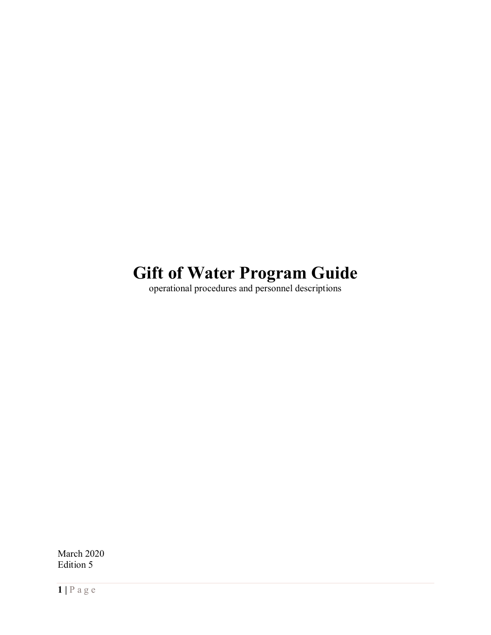# **Gift of Water Program Guide**

operational procedures and personnel descriptions

March 2020 Edition 5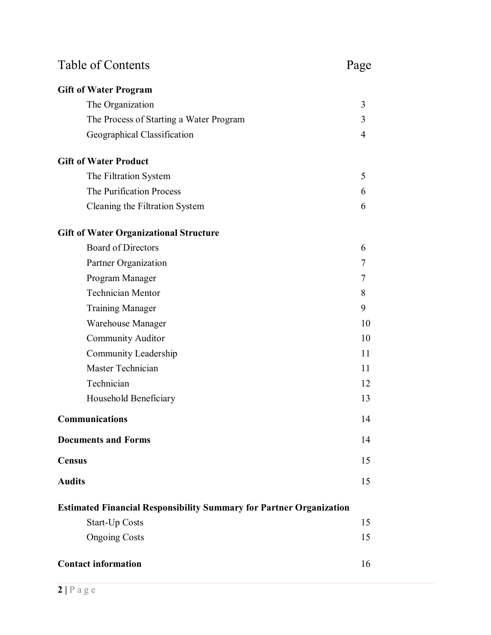| <b>Table of Contents</b>                                                   |    |
|----------------------------------------------------------------------------|----|
| <b>Gift of Water Program</b>                                               |    |
| The Organization                                                           | 3  |
| The Process of Starting a Water Program                                    | 3  |
| Geographical Classification                                                | 4  |
| <b>Gift of Water Product</b>                                               |    |
| The Filtration System                                                      | 5  |
| The Purification Process                                                   | 6  |
| Cleaning the Filtration System                                             | 6  |
| <b>Gift of Water Organizational Structure</b>                              |    |
| <b>Board of Directors</b>                                                  | 6  |
| Partner Organization                                                       | 7  |
| Program Manager                                                            | 7  |
| <b>Technician Mentor</b>                                                   | 8  |
| <b>Training Manager</b>                                                    | 9  |
| Warehouse Manager                                                          | 10 |
| <b>Community Auditor</b>                                                   | 10 |
| Community Leadership                                                       | 11 |
| Master Technician                                                          | 11 |
| Technician                                                                 | 12 |
| Household Beneficiary                                                      | 13 |
| Communications                                                             | 14 |
| <b>Documents and Forms</b>                                                 | 14 |
| <b>Census</b>                                                              | 15 |
| <b>Audits</b>                                                              | 15 |
| <b>Estimated Financial Responsibility Summary for Partner Organization</b> |    |
| <b>Start-Up Costs</b>                                                      | 15 |
| <b>Ongoing Costs</b>                                                       | 15 |
| <b>Contact information</b>                                                 | 16 |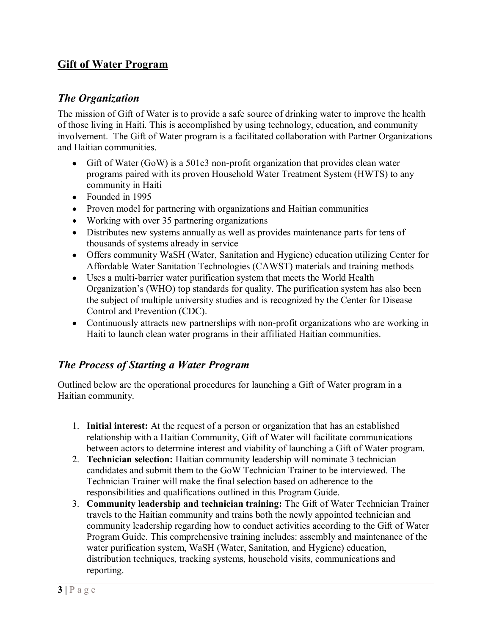# **Gift of Water Program**

#### *The Organization*

The mission of Gift of Water is to provide a safe source of drinking water to improve the health of those living in Haiti. This is accomplished by using technology, education, and community involvement. The Gift of Water program is a facilitated collaboration with Partner Organizations and Haitian communities.

- Gift of Water (GoW) is a 501c3 non-profit organization that provides clean water programs paired with its proven Household Water Treatment System (HWTS) to any community in Haiti
- Founded in 1995
- Proven model for partnering with organizations and Haitian communities
- Working with over 35 partnering organizations
- Distributes new systems annually as well as provides maintenance parts for tens of thousands of systems already in service
- Offers community WaSH (Water, Sanitation and Hygiene) education utilizing Center for Affordable Water Sanitation Technologies (CAWST) materials and training methods
- Uses a multi-barrier water purification system that meets the World Health Organization's (WHO) top standards for quality. The purification system has also been the subject of multiple university studies and is recognized by the Center for Disease Control and Prevention (CDC).
- Continuously attracts new partnerships with non-profit organizations who are working in Haiti to launch clean water programs in their affiliated Haitian communities.

# *The Process of Starting a Water Program*

Outlined below are the operational procedures for launching a Gift of Water program in a Haitian community.

- 1. **Initial interest:** At the request of a person or organization that has an established relationship with a Haitian Community, Gift of Water will facilitate communications between actors to determine interest and viability of launching a Gift of Water program.
- 2. **Technician selection:** Haitian community leadership will nominate 3 technician candidates and submit them to the GoW Technician Trainer to be interviewed. The Technician Trainer will make the final selection based on adherence to the responsibilities and qualifications outlined in this Program Guide.
- 3. **Community leadership and technician training:** The Gift of Water Technician Trainer travels to the Haitian community and trains both the newly appointed technician and community leadership regarding how to conduct activities according to the Gift of Water Program Guide. This comprehensive training includes: assembly and maintenance of the water purification system, WaSH (Water, Sanitation, and Hygiene) education, distribution techniques, tracking systems, household visits, communications and reporting.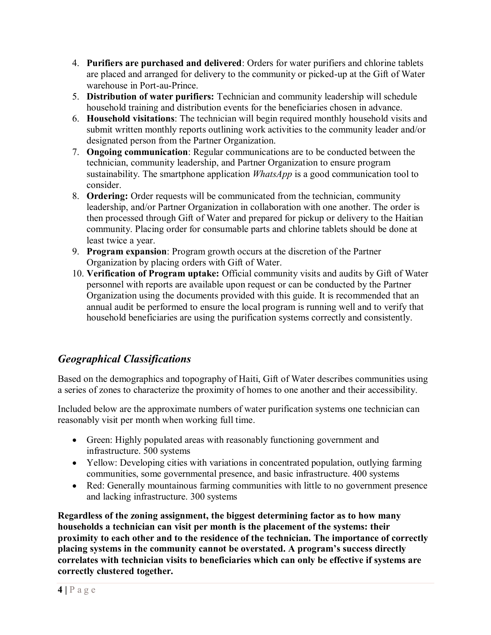- 4. **Purifiers are purchased and delivered**: Orders for water purifiers and chlorine tablets are placed and arranged for delivery to the community or picked-up at the Gift of Water warehouse in Port-au-Prince.
- 5. **Distribution of water purifiers:** Technician and community leadership will schedule household training and distribution events for the beneficiaries chosen in advance.
- 6. **Household visitations**: The technician will begin required monthly household visits and submit written monthly reports outlining work activities to the community leader and/or designated person from the Partner Organization.
- 7. **Ongoing communication**: Regular communications are to be conducted between the technician, community leadership, and Partner Organization to ensure program sustainability. The smartphone application *WhatsApp* is a good communication tool to consider.
- 8. **Ordering:** Order requests will be communicated from the technician, community leadership, and/or Partner Organization in collaboration with one another. The order is then processed through Gift of Water and prepared for pickup or delivery to the Haitian community. Placing order for consumable parts and chlorine tablets should be done at least twice a year.
- 9. **Program expansion**: Program growth occurs at the discretion of the Partner Organization by placing orders with Gift of Water.
- 10. **Verification of Program uptake:** Official community visits and audits by Gift of Water personnel with reports are available upon request or can be conducted by the Partner Organization using the documents provided with this guide. It is recommended that an annual audit be performed to ensure the local program is running well and to verify that household beneficiaries are using the purification systems correctly and consistently.

# *Geographical Classifications*

Based on the demographics and topography of Haiti, Gift of Water describes communities using a series of zones to characterize the proximity of homes to one another and their accessibility.

Included below are the approximate numbers of water purification systems one technician can reasonably visit per month when working full time.

- Green: Highly populated areas with reasonably functioning government and infrastructure. 500 systems
- Yellow: Developing cities with variations in concentrated population, outlying farming communities, some governmental presence, and basic infrastructure. 400 systems
- Red: Generally mountainous farming communities with little to no government presence and lacking infrastructure. 300 systems

**Regardless of the zoning assignment, the biggest determining factor as to how many households a technician can visit per month is the placement of the systems: their proximity to each other and to the residence of the technician. The importance of correctly placing systems in the community cannot be overstated. A program's success directly correlates with technician visits to beneficiaries which can only be effective if systems are correctly clustered together.**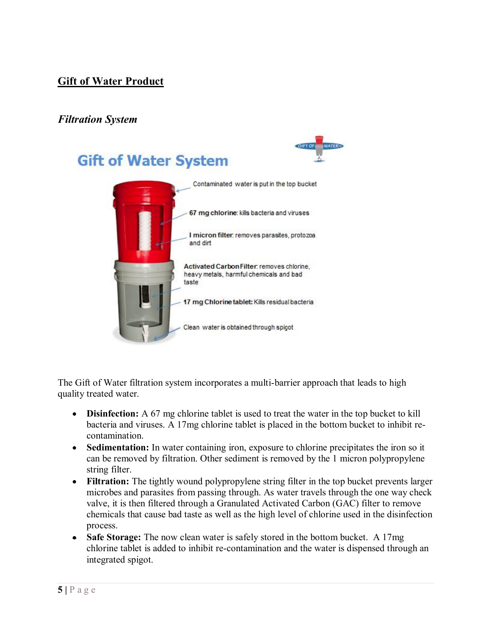# **Gift of Water Product**

# *Filtration System*

# **Gift of Water System**



The Gift of Water filtration system incorporates a multi-barrier approach that leads to high quality treated water.

- **Disinfection:** A 67 mg chlorine tablet is used to treat the water in the top bucket to kill bacteria and viruses. A 17mg chlorine tablet is placed in the bottom bucket to inhibit recontamination.
- **Sedimentation:** In water containing iron, exposure to chlorine precipitates the iron so it can be removed by filtration. Other sediment is removed by the 1 micron polypropylene string filter.
- Filtration: The tightly wound polypropylene string filter in the top bucket prevents larger microbes and parasites from passing through. As water travels through the one way check valve, it is then filtered through a Granulated Activated Carbon (GAC) filter to remove chemicals that cause bad taste as well as the high level of chlorine used in the disinfection process.
- **Safe Storage:** The now clean water is safely stored in the bottom bucket. A 17mg chlorine tablet is added to inhibit re-contamination and the water is dispensed through an integrated spigot.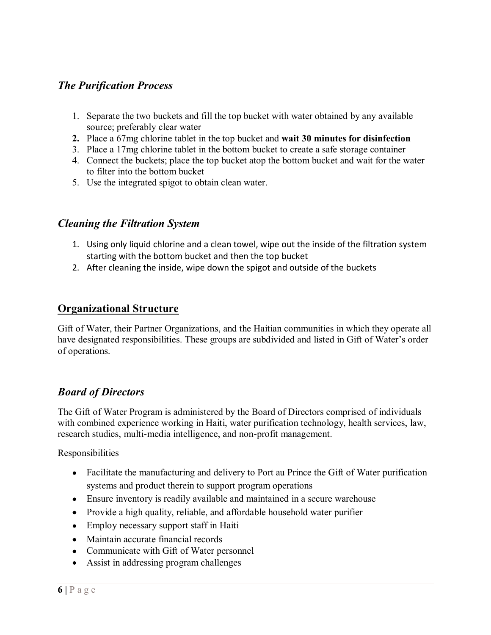# *The Purification Process*

- 1. Separate the two buckets and fill the top bucket with water obtained by any available source; preferably clear water
- **2.** Place a 67mg chlorine tablet in the top bucket and **wait 30 minutes for disinfection**
- 3. Place a 17mg chlorine tablet in the bottom bucket to create a safe storage container
- 4. Connect the buckets; place the top bucket atop the bottom bucket and wait for the water to filter into the bottom bucket
- 5. Use the integrated spigot to obtain clean water.

#### *Cleaning the Filtration System*

- 1. Using only liquid chlorine and a clean towel, wipe out the inside of the filtration system starting with the bottom bucket and then the top bucket
- 2. After cleaning the inside, wipe down the spigot and outside of the buckets

#### **Organizational Structure**

Gift of Water, their Partner Organizations, and the Haitian communities in which they operate all have designated responsibilities. These groups are subdivided and listed in Gift of Water's order of operations.

#### *Board of Directors*

The Gift of Water Program is administered by the Board of Directors comprised of individuals with combined experience working in Haiti, water purification technology, health services, law, research studies, multi-media intelligence, and non-profit management.

- Facilitate the manufacturing and delivery to Port au Prince the Gift of Water purification systems and product therein to support program operations
- Ensure inventory is readily available and maintained in a secure warehouse
- Provide a high quality, reliable, and affordable household water purifier
- Employ necessary support staff in Haiti
- Maintain accurate financial records
- Communicate with Gift of Water personnel
- Assist in addressing program challenges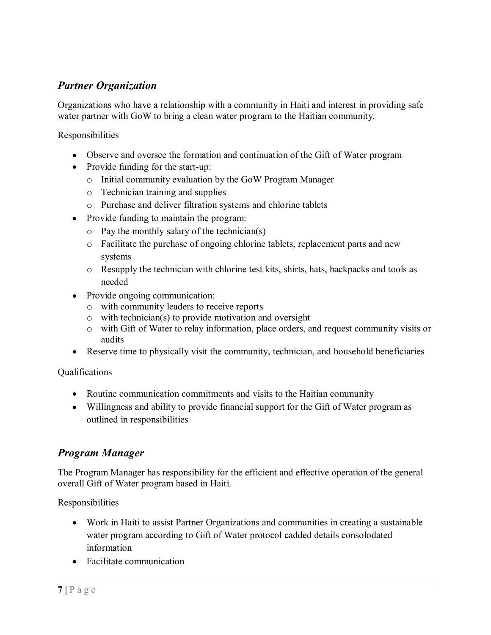# *Partner Organization*

Organizations who have a relationship with a community in Haiti and interest in providing safe water partner with GoW to bring a clean water program to the Haitian community.

Responsibilities

- Observe and oversee the formation and continuation of the Gift of Water program
- Provide funding for the start-up:
	- o Initial community evaluation by the GoW Program Manager
	- o Technician training and supplies
	- o Purchase and deliver filtration systems and chlorine tablets
- Provide funding to maintain the program:
	- o Pay the monthly salary of the technician(s)
	- o Facilitate the purchase of ongoing chlorine tablets, replacement parts and new systems
	- o Resupply the technician with chlorine test kits, shirts, hats, backpacks and tools as needed
- Provide ongoing communication:
	- o with community leaders to receive reports
	- o with technician(s) to provide motivation and oversight
	- o with Gift of Water to relay information, place orders, and request community visits or audits
- Reserve time to physically visit the community, technician, and household beneficiaries

Qualifications

- Routine communication commitments and visits to the Haitian community
- Willingness and ability to provide financial support for the Gift of Water program as outlined in responsibilities

#### *Program Manager*

The Program Manager has responsibility for the efficient and effective operation of the general overall Gift of Water program based in Haiti.

- Work in Haiti to assist Partner Organizations and communities in creating a sustainable water program according to Gift of Water protocol cadded details consolodated information
- Facilitate communication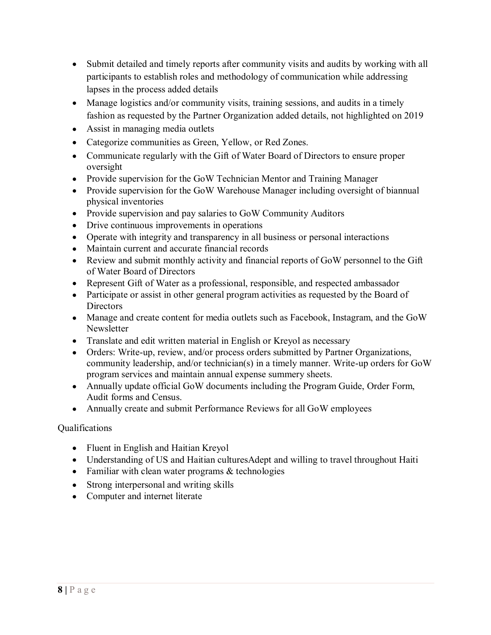- Submit detailed and timely reports after community visits and audits by working with all participants to establish roles and methodology of communication while addressing lapses in the process added details
- Manage logistics and/or community visits, training sessions, and audits in a timely fashion as requested by the Partner Organization added details, not highlighted on 2019
- Assist in managing media outlets
- Categorize communities as Green, Yellow, or Red Zones.
- Communicate regularly with the Gift of Water Board of Directors to ensure proper oversight
- Provide supervision for the GoW Technician Mentor and Training Manager
- Provide supervision for the GoW Warehouse Manager including oversight of biannual physical inventories
- Provide supervision and pay salaries to GoW Community Auditors
- Drive continuous improvements in operations
- Operate with integrity and transparency in all business or personal interactions
- Maintain current and accurate financial records
- Review and submit monthly activity and financial reports of GoW personnel to the Gift of Water Board of Directors
- Represent Gift of Water as a professional, responsible, and respected ambassador
- Participate or assist in other general program activities as requested by the Board of Directors
- Manage and create content for media outlets such as Facebook, Instagram, and the GoW Newsletter
- Translate and edit written material in English or Kreyol as necessary
- Orders: Write-up, review, and/or process orders submitted by Partner Organizations, community leadership, and/or technician(s) in a timely manner. Write-up orders for GoW program services and maintain annual expense summery sheets.
- Annually update official GoW documents including the Program Guide, Order Form, Audit forms and Census.
- Annually create and submit Performance Reviews for all GoW employees

#### Qualifications

- Fluent in English and Haitian Kreyol
- Understanding of US and Haitian culturesAdept and willing to travel throughout Haiti
- Familiar with clean water programs  $&$  technologies
- Strong interpersonal and writing skills
- Computer and internet literate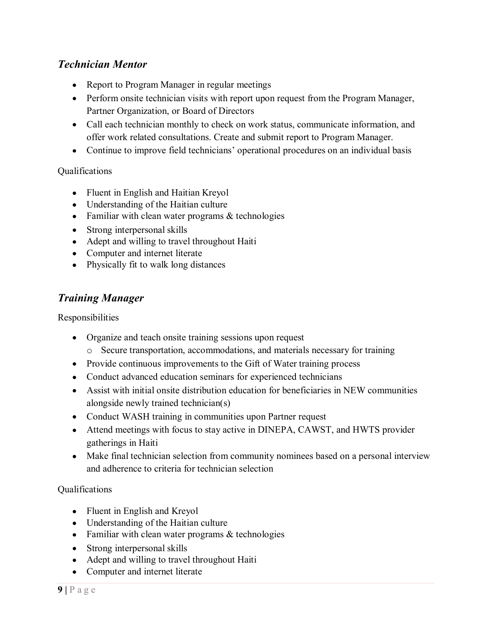# *Technician Mentor*

- Report to Program Manager in regular meetings
- Perform onsite technician visits with report upon request from the Program Manager, Partner Organization, or Board of Directors
- Call each technician monthly to check on work status, communicate information, and offer work related consultations. Create and submit report to Program Manager.
- Continue to improve field technicians' operational procedures on an individual basis

#### Qualifications

- Fluent in English and Haitian Kreyol
- Understanding of the Haitian culture
- Familiar with clean water programs & technologies
- Strong interpersonal skills
- Adept and willing to travel throughout Haiti
- Computer and internet literate
- Physically fit to walk long distances

# *Training Manager*

Responsibilities

- Organize and teach onsite training sessions upon request
	- o Secure transportation, accommodations, and materials necessary for training
- Provide continuous improvements to the Gift of Water training process
- Conduct advanced education seminars for experienced technicians
- Assist with initial onsite distribution education for beneficiaries in NEW communities alongside newly trained technician(s)
- Conduct WASH training in communities upon Partner request
- Attend meetings with focus to stay active in DINEPA, CAWST, and HWTS provider gatherings in Haiti
- Make final technician selection from community nominees based on a personal interview and adherence to criteria for technician selection

#### Qualifications

- Fluent in English and Kreyol
- Understanding of the Haitian culture
- Familiar with clean water programs & technologies
- Strong interpersonal skills
- Adept and willing to travel throughout Haiti
- Computer and internet literate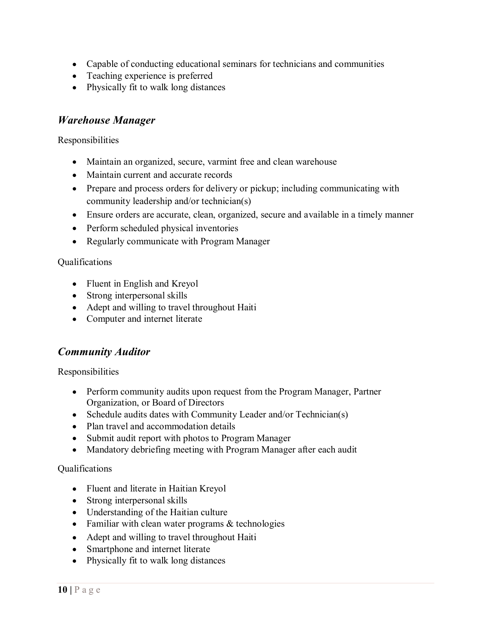- Capable of conducting educational seminars for technicians and communities
- Teaching experience is preferred
- Physically fit to walk long distances

#### *Warehouse Manager*

Responsibilities

- Maintain an organized, secure, varmint free and clean warehouse
- Maintain current and accurate records
- Prepare and process orders for delivery or pickup; including communicating with community leadership and/or technician(s)
- Ensure orders are accurate, clean, organized, secure and available in a timely manner
- Perform scheduled physical inventories
- Regularly communicate with Program Manager

#### Qualifications

- Fluent in English and Kreyol
- Strong interpersonal skills
- Adept and willing to travel throughout Haiti
- Computer and internet literate

# *Community Auditor*

Responsibilities

- Perform community audits upon request from the Program Manager, Partner Organization, or Board of Directors
- Schedule audits dates with Community Leader and/or Technician(s)
- Plan travel and accommodation details
- Submit audit report with photos to Program Manager
- Mandatory debriefing meeting with Program Manager after each audit

#### Qualifications

- Fluent and literate in Haitian Kreyol
- Strong interpersonal skills
- Understanding of the Haitian culture
- Familiar with clean water programs  $&$  technologies
- Adept and willing to travel throughout Haiti
- Smartphone and internet literate
- Physically fit to walk long distances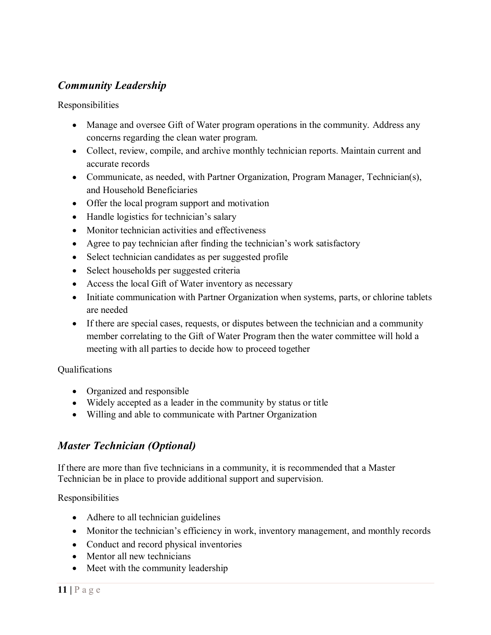# *Community Leadership*

Responsibilities

- Manage and oversee Gift of Water program operations in the community. Address any concerns regarding the clean water program.
- Collect, review, compile, and archive monthly technician reports. Maintain current and accurate records
- Communicate, as needed, with Partner Organization, Program Manager, Technician(s), and Household Beneficiaries
- Offer the local program support and motivation
- Handle logistics for technician's salary
- Monitor technician activities and effectiveness
- Agree to pay technician after finding the technician's work satisfactory
- Select technician candidates as per suggested profile
- Select households per suggested criteria
- Access the local Gift of Water inventory as necessary
- Initiate communication with Partner Organization when systems, parts, or chlorine tablets are needed
- If there are special cases, requests, or disputes between the technician and a community member correlating to the Gift of Water Program then the water committee will hold a meeting with all parties to decide how to proceed together

#### Qualifications

- Organized and responsible
- Widely accepted as a leader in the community by status or title
- Willing and able to communicate with Partner Organization

# *Master Technician (Optional)*

If there are more than five technicians in a community, it is recommended that a Master Technician be in place to provide additional support and supervision.

- Adhere to all technician guidelines
- Monitor the technician's efficiency in work, inventory management, and monthly records
- Conduct and record physical inventories
- Mentor all new technicians
- Meet with the community leadership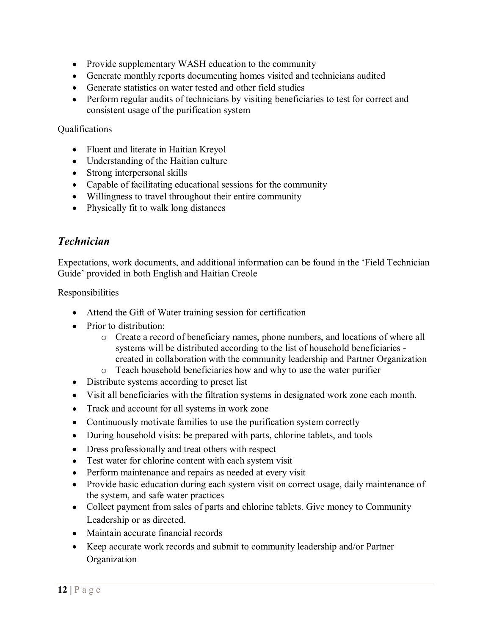- Provide supplementary WASH education to the community
- Generate monthly reports documenting homes visited and technicians audited
- Generate statistics on water tested and other field studies
- Perform regular audits of technicians by visiting beneficiaries to test for correct and consistent usage of the purification system

#### **Oualifications**

- Fluent and literate in Haitian Kreyol
- Understanding of the Haitian culture
- Strong interpersonal skills
- Capable of facilitating educational sessions for the community
- Willingness to travel throughout their entire community
- Physically fit to walk long distances

# *Technician*

Expectations, work documents, and additional information can be found in the 'Field Technician Guide' provided in both English and Haitian Creole

- Attend the Gift of Water training session for certification
- Prior to distribution:
	- o Create a record of beneficiary names, phone numbers, and locations of where all systems will be distributed according to the list of household beneficiaries created in collaboration with the community leadership and Partner Organization
	- o Teach household beneficiaries how and why to use the water purifier
- Distribute systems according to preset list
- Visit all beneficiaries with the filtration systems in designated work zone each month.
- Track and account for all systems in work zone
- Continuously motivate families to use the purification system correctly
- During household visits: be prepared with parts, chlorine tablets, and tools
- Dress professionally and treat others with respect
- Test water for chlorine content with each system visit
- Perform maintenance and repairs as needed at every visit
- Provide basic education during each system visit on correct usage, daily maintenance of the system, and safe water practices
- Collect payment from sales of parts and chlorine tablets. Give money to Community Leadership or as directed.
- Maintain accurate financial records
- Keep accurate work records and submit to community leadership and/or Partner **Organization**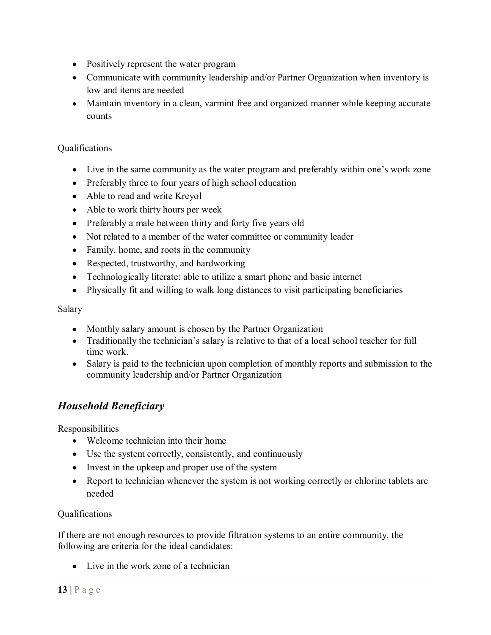- Positively represent the water program
- Communicate with community leadership and/or Partner Organization when inventory is low and items are needed
- Maintain inventory in a clean, varmint free and organized manner while keeping accurate counts

#### Qualifications

- Live in the same community as the water program and preferably within one's work zone
- Preferably three to four years of high school education
- Able to read and write Kreyol
- Able to work thirty hours per week
- Preferably a male between thirty and forty five years old
- Not related to a member of the water committee or community leader
- Family, home, and roots in the community
- Respected, trustworthy, and hardworking
- Technologically literate: able to utilize a smart phone and basic internet
- Physically fit and willing to walk long distances to visit participating beneficiaries

#### Salary

- Monthly salary amount is chosen by the Partner Organization
- Traditionally the technician's salary is relative to that of a local school teacher for full time work.
- Salary is paid to the technician upon completion of monthly reports and submission to the community leadership and/or Partner Organization

# *Household Beneficiary*

**Responsibilities** 

- Welcome technician into their home
- Use the system correctly, consistently, and continuously
- Invest in the upkeep and proper use of the system
- Report to technician whenever the system is not working correctly or chlorine tablets are needed

#### Qualifications

If there are not enough resources to provide filtration systems to an entire community, the following are criteria for the ideal candidates:

 $\bullet$  Live in the work zone of a technician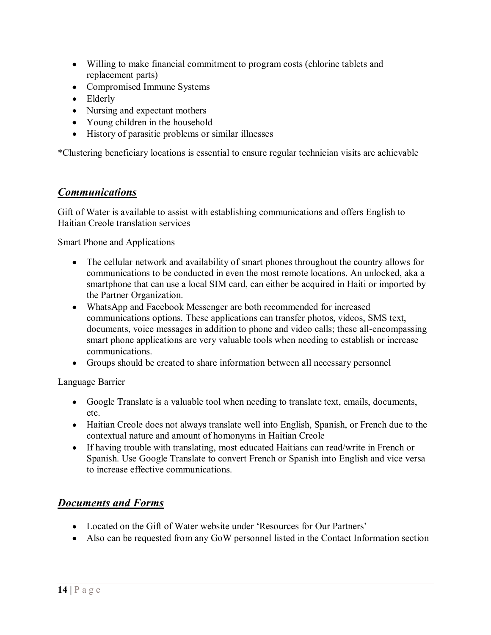- Willing to make financial commitment to program costs (chlorine tablets and replacement parts)
- Compromised Immune Systems
- Elderly
- Nursing and expectant mothers
- Young children in the household
- History of parasitic problems or similar illnesses

\*Clustering beneficiary locations is essential to ensure regular technician visits are achievable

# *Communications*

Gift of Water is available to assist with establishing communications and offers English to Haitian Creole translation services

Smart Phone and Applications

- The cellular network and availability of smart phones throughout the country allows for communications to be conducted in even the most remote locations. An unlocked, aka a smartphone that can use a local SIM card, can either be acquired in Haiti or imported by the Partner Organization.
- WhatsApp and Facebook Messenger are both recommended for increased communications options. These applications can transfer photos, videos, SMS text, documents, voice messages in addition to phone and video calls; these all-encompassing smart phone applications are very valuable tools when needing to establish or increase communications.
- Groups should be created to share information between all necessary personnel

Language Barrier

- Google Translate is a valuable tool when needing to translate text, emails, documents, etc.
- Haitian Creole does not always translate well into English, Spanish, or French due to the contextual nature and amount of homonyms in Haitian Creole
- If having trouble with translating, most educated Haitians can read/write in French or Spanish. Use Google Translate to convert French or Spanish into English and vice versa to increase effective communications.

# *Documents and Forms*

- Located on the Gift of Water website under 'Resources for Our Partners'
- Also can be requested from any GoW personnel listed in the Contact Information section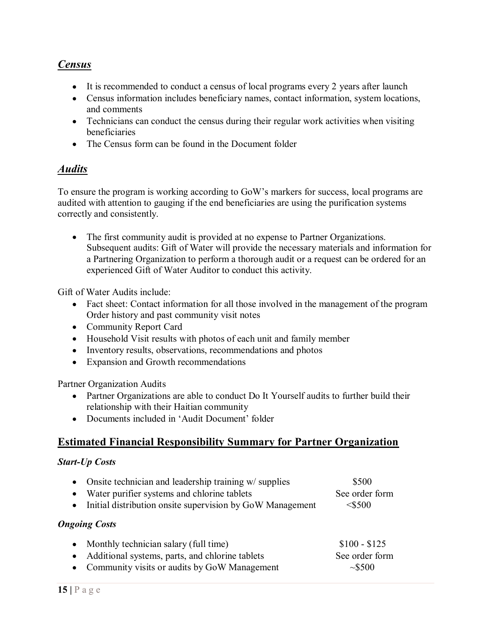# *Census*

- It is recommended to conduct a census of local programs every 2 years after launch
- Census information includes beneficiary names, contact information, system locations, and comments
- Technicians can conduct the census during their regular work activities when visiting beneficiaries
- The Census form can be found in the Document folder

#### *Audits*

To ensure the program is working according to GoW's markers for success, local programs are audited with attention to gauging if the end beneficiaries are using the purification systems correctly and consistently.

The first community audit is provided at no expense to Partner Organizations. Subsequent audits: Gift of Water will provide the necessary materials and information for a Partnering Organization to perform a thorough audit or a request can be ordered for an experienced Gift of Water Auditor to conduct this activity.

Gift of Water Audits include:

- Fact sheet: Contact information for all those involved in the management of the program Order history and past community visit notes
- Community Report Card
- Household Visit results with photos of each unit and family member
- Inventory results, observations, recommendations and photos
- Expansion and Growth recommendations

Partner Organization Audits

- Partner Organizations are able to conduct Do It Yourself audits to further build their relationship with their Haitian community
- Documents included in 'Audit Document' folder

# **Estimated Financial Responsibility Summary for Partner Organization**

#### *Start-Up Costs*

| $\bullet$            | Onsite technician and leadership training w/ supplies     | \$500          |  |
|----------------------|-----------------------------------------------------------|----------------|--|
| $\bullet$            | Water purifier systems and chlorine tablets               | See order form |  |
| $\bullet$            | Initial distribution onsite supervision by GoW Management | $<$ \$500      |  |
| <b>Ongoing Costs</b> |                                                           |                |  |
| $\bullet$            | Monthly technician salary (full time)                     | $$100 - $125$  |  |
| $\bullet$            | Additional systems, parts, and chlorine tablets           | See order form |  |
| $\bullet$            | Community visits or audits by GoW Management              | ~100           |  |